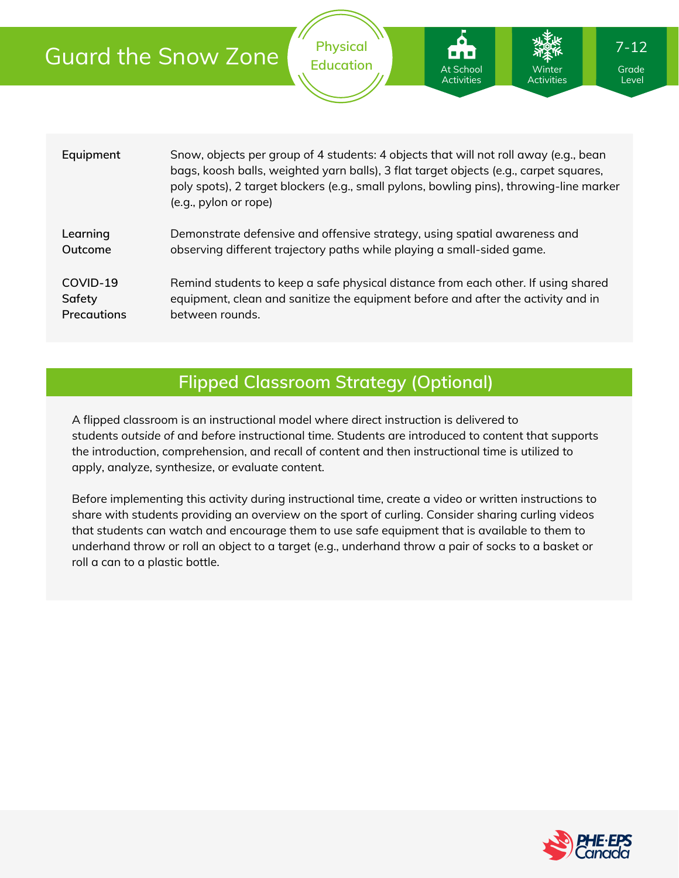| <b>Guard the Snow Zone</b> |  |  |
|----------------------------|--|--|
|                            |  |  |

| Equipment   | Snow, objects per group of 4 students: 4 objects that will not roll away (e.g., bean<br>bags, koosh balls, weighted yarn balls), 3 flat target objects (e.g., carpet squares,<br>poly spots), 2 target blockers (e.g., small pylons, bowling pins), throwing-line marker<br>(e.g., pylon or rope) |
|-------------|---------------------------------------------------------------------------------------------------------------------------------------------------------------------------------------------------------------------------------------------------------------------------------------------------|
| Learning    | Demonstrate defensive and offensive strategy, using spatial awareness and                                                                                                                                                                                                                         |
| Outcome     | observing different trajectory paths while playing a small-sided game.                                                                                                                                                                                                                            |
| COVID-19    | Remind students to keep a safe physical distance from each other. If using shared                                                                                                                                                                                                                 |
| Safety      | equipment, clean and sanitize the equipment before and after the activity and in                                                                                                                                                                                                                  |
| Precautions | between rounds.                                                                                                                                                                                                                                                                                   |

**Physical Education**

At School Activities

## **Flipped Classroom Strategy (Optional)**

A flipped classroom is an instructional model where direct instruction is delivered to students *outside of* and *before* instructional time. Students are introduced to content that supports the introduction, comprehension, and recall of content and then instructional time is utilized to apply, analyze, synthesize, or evaluate content.

Before implementing this activity during instructional time, create a video or written instructions to share with students providing an overview on the sport of curling. Consider sharing curling videos that students can watch and encourage them to use safe equipment that is available to them to underhand throw or roll an object to a target (e.g., underhand throw a pair of socks to a basket or roll a can to a plastic bottle.



Grade Level

Winter Activities 7-12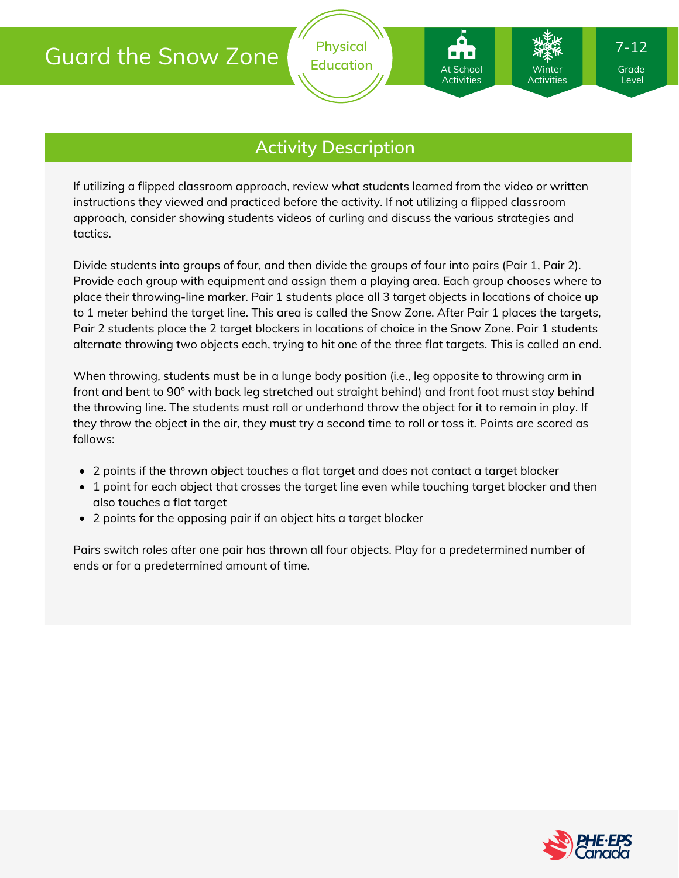# Guard the Snow Zone

At School Activities

Winter Activities

If utilizing a flipped classroom approach, review what students learned from the video or written instructions they viewed and practiced before the activity. If not utilizing a flipped classroom approach, consider showing students videos of curling and discuss the various strategies and tactics.

Divide students into groups of four, and then divide the groups of four into pairs (Pair 1, Pair 2). Provide each group with equipment and assign them a playing area. Each group chooses where to place their throwing-line marker. Pair 1 students place all 3 target objects in locations of choice up to 1 meter behind the target line. This area is called the Snow Zone. After Pair 1 places the targets, Pair 2 students place the 2 target blockers in locations of choice in the Snow Zone. Pair 1 students alternate throwing two objects each, trying to hit one of the three flat targets. This is called an end.

When throwing, students must be in a lunge body position (i.e., leg opposite to throwing arm in front and bent to 90° with back leg stretched out straight behind) and front foot must stay behind the throwing line. The students must roll or underhand throw the object for it to remain in play. If they throw the object in the air, they must try a second time to roll or toss it. Points are scored as follows:

- 2 points if the thrown object touches a flat target and does not contact a target blocker
- 1 point for each object that crosses the target line even while touching target blocker and then also touches a flat target
- 2 points for the opposing pair if an object hits a target blocker

Pairs switch roles after one pair has thrown all four objects. Play for a predetermined number of ends or for a predetermined amount of time.



Level

7-12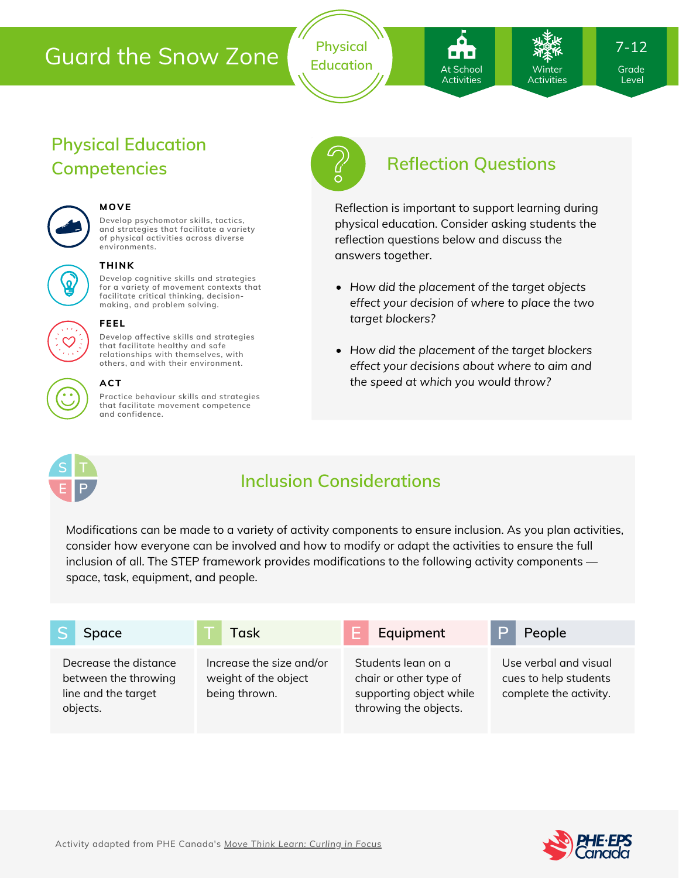# Guard the Snow Zone

**Physical** Education **At School Marson Winter** Grade

At School **Activities** 

**Winter** Activities 7-12

Level

# **Physical Education Competencies Reflection Questions**



### **MOVE**

**Develop psychomotor skills, tactics, and strategies that facilitate a variety of physical activities across diverse environments.**



#### **THINK**

**Develop cognitive skills and strategies for a variety of movement contexts that facilitate critical thinking, decision making, and problem solving.**



#### **FEEL**

**Develop affective skills and strategies that facilitate healthy and safe relationships with themselves, with others, and with their environment.**



### **ACT**

**Practice behaviour skills and strategies that facilitate movement competence and confidence.**



Reflection is important to support learning during physical education. Consider asking students the reflection questions below and discuss the answers together.

- *How did the placement of the target objects effect your decision of where to place the two target blockers?*
- *How did the placement of the target blockers effect your decisions about where to aim and the speed at which you would throw?*



## **Inclusion Considerations**

Modifications can be made to a variety of activity components to ensure inclusion. As you plan activities, consider how everyone can be involved and how to modify or adapt the activities to ensure the full inclusion of all. The STEP framework provides modifications to the following activity components space, task, equipment, and people.

|                                                                                  | Space |                                                                   | Task                                                                                             | Equipment                                                                | People |
|----------------------------------------------------------------------------------|-------|-------------------------------------------------------------------|--------------------------------------------------------------------------------------------------|--------------------------------------------------------------------------|--------|
|                                                                                  |       |                                                                   |                                                                                                  |                                                                          |        |
| Decrease the distance<br>between the throwing<br>line and the target<br>objects. |       | Increase the size and/or<br>weight of the object<br>being thrown. | Students lean on a<br>chair or other type of<br>supporting object while<br>throwing the objects. | Use verbal and visual<br>cues to help students<br>complete the activity. |        |